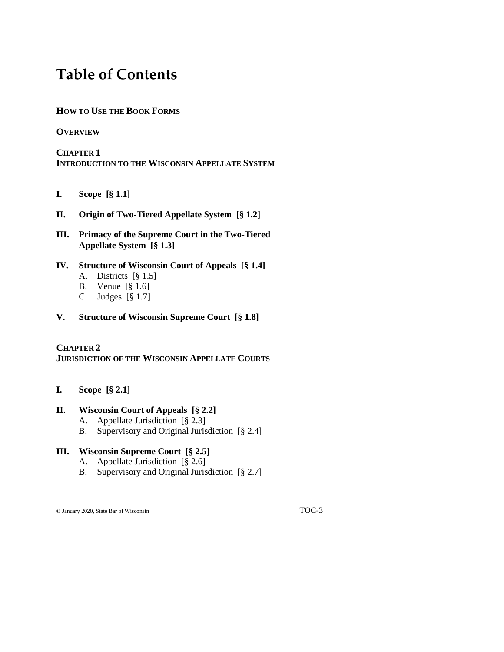# **Table of Contents**

## **HOW TO USE THE BOOK FORMS**

#### **OVERVIEW**

**CHAPTER 1 INTRODUCTION TO THE WISCONSIN APPELLATE SYSTEM**

- **I. Scope [§ 1.1]**
- **II. Origin of Two-Tiered Appellate System [§ 1.2]**
- **III. Primacy of the Supreme Court in the Two-Tiered Appellate System [§ 1.3]**
- **IV. Structure of Wisconsin Court of Appeals [§ 1.4]** A. Districts [§ 1.5]
	- B. Venue [§ 1.6]
	- C. Judges [§ 1.7]
- **V. Structure of Wisconsin Supreme Court [§ 1.8]**

#### **CHAPTER 2**

**JURISDICTION OF THE WISCONSIN APPELLATE COURTS**

**I. Scope [§ 2.1]**

#### **II. Wisconsin Court of Appeals [§ 2.2]**

- A. Appellate Jurisdiction [§ 2.3]
- B. Supervisory and Original Jurisdiction [§ 2.4]

#### **III. Wisconsin Supreme Court [§ 2.5]**

- A. Appellate Jurisdiction [§ 2.6]
- B. Supervisory and Original Jurisdiction [§ 2.7]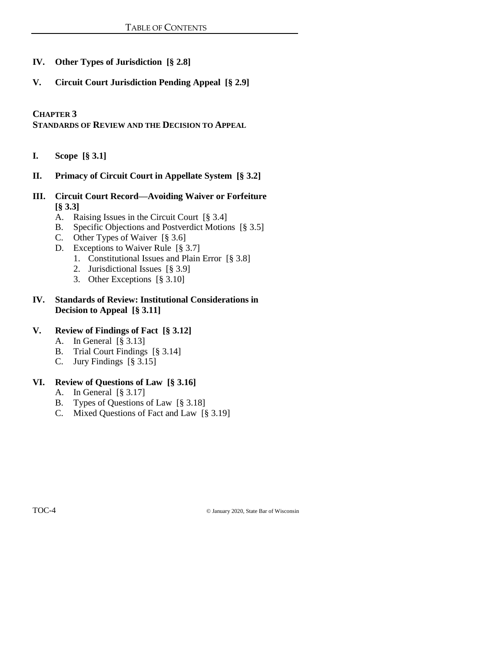# **IV. Other Types of Jurisdiction [§ 2.8]**

**V. Circuit Court Jurisdiction Pending Appeal [§ 2.9]**

**CHAPTER 3**

**STANDARDS OF REVIEW AND THE DECISION TO APPEAL**

- **I. Scope [§ 3.1]**
- **II. Primacy of Circuit Court in Appellate System [§ 3.2]**
- **III. Circuit Court Record—Avoiding Waiver or Forfeiture [§ 3.3]**
	- A. Raising Issues in the Circuit Court [§ 3.4]
	- B. Specific Objections and Postverdict Motions [§ 3.5]
	- C. Other Types of Waiver [§ 3.6]
	- D. Exceptions to Waiver Rule [§ 3.7]
		- 1. Constitutional Issues and Plain Error [§ 3.8]
		- 2. Jurisdictional Issues [§ 3.9]
		- 3. Other Exceptions [§ 3.10]

#### **IV. Standards of Review: Institutional Considerations in Decision to Appeal [§ 3.11]**

## **V. Review of Findings of Fact [§ 3.12]**

- A. In General [§ 3.13]
- B. Trial Court Findings [§ 3.14]
- C. Jury Findings [§ 3.15]

# **VI. Review of Questions of Law [§ 3.16]**

- A. In General [§ 3.17]
- B. Types of Questions of Law [§ 3.18]
- C. Mixed Questions of Fact and Law [§ 3.19]

TOC-4 © January 2020, State Bar of Wisconsin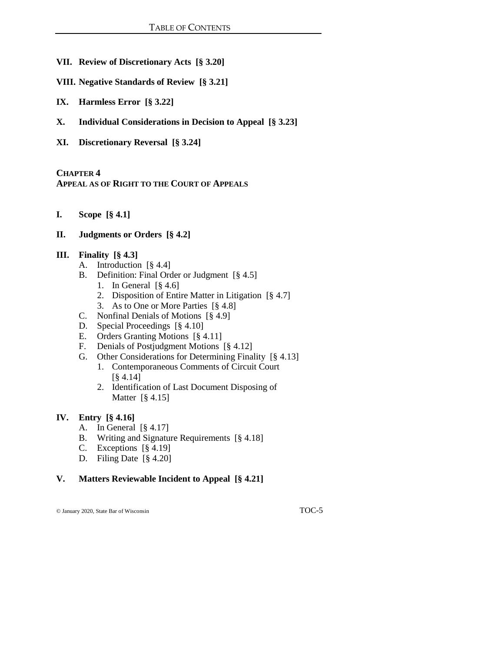- **VII. Review of Discretionary Acts [§ 3.20]**
- **VIII. Negative Standards of Review [§ 3.21]**
- **IX. Harmless Error [§ 3.22]**
- **X. Individual Considerations in Decision to Appeal [§ 3.23]**
- **XI. Discretionary Reversal [§ 3.24]**

#### **CHAPTER 4**

**APPEAL AS OF RIGHT TO THE COURT OF APPEALS**

**I. Scope [§ 4.1]**

#### **II. Judgments or Orders [§ 4.2]**

#### **III. Finality [§ 4.3]**

- A. Introduction [§ 4.4]
- B. Definition: Final Order or Judgment [§ 4.5]
	- 1. In General [§ 4.6]
	- 2. Disposition of Entire Matter in Litigation [§ 4.7]
	- 3. As to One or More Parties [§ 4.8]
- C. Nonfinal Denials of Motions [§ 4.9]
- D. Special Proceedings [§ 4.10]
- E. Orders Granting Motions [§ 4.11]
- F. Denials of Postjudgment Motions [§ 4.12]
- G. Other Considerations for Determining Finality [§ 4.13]
	- 1. Contemporaneous Comments of Circuit Court [§ 4.14]
	- 2. Identification of Last Document Disposing of Matter [§ 4.15]

#### **IV. Entry [§ 4.16]**

- A. In General  $\lceil \frac{8}{9} \cdot 4.17 \rceil$
- B. Writing and Signature Requirements [§ 4.18]
- C. Exceptions [§ 4.19]
- D. Filing Date [§ 4.20]

#### **V. Matters Reviewable Incident to Appeal [§ 4.21]**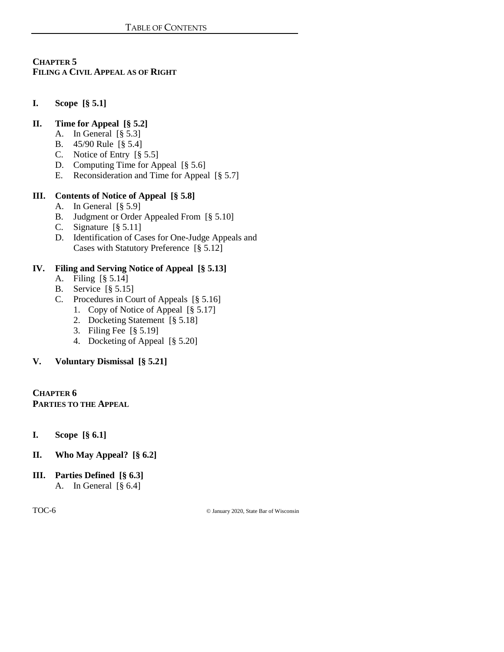# **CHAPTER 5 FILING A CIVIL APPEAL AS OF RIGHT**

**I. Scope [§ 5.1]**

## **II. Time for Appeal [§ 5.2]**

- A. In General [§ 5.3]
- B. 45/90 Rule [§ 5.4]
- C. Notice of Entry [§ 5.5]
- D. Computing Time for Appeal [§ 5.6]
- E. Reconsideration and Time for Appeal [§ 5.7]

# **III. Contents of Notice of Appeal [§ 5.8]**

- A. In General [§ 5.9]
- B. Judgment or Order Appealed From [§ 5.10]
- C. Signature [§ 5.11]
- D. Identification of Cases for One-Judge Appeals and Cases with Statutory Preference [§ 5.12]

#### **IV. Filing and Serving Notice of Appeal [§ 5.13]**

- A. Filing [§ 5.14]
- B. Service [§ 5.15]
- C. Procedures in Court of Appeals [§ 5.16]
	- 1. Copy of Notice of Appeal [§ 5.17]
	- 2. Docketing Statement [§ 5.18]
	- 3. Filing Fee [§ 5.19]
	- 4. Docketing of Appeal [§ 5.20]

# **V. Voluntary Dismissal [§ 5.21]**

**CHAPTER 6 PARTIES TO THE APPEAL**

- **I. Scope [§ 6.1]**
- **II. Who May Appeal? [§ 6.2]**
- **III. Parties Defined [§ 6.3]** A. In General [§ 6.4]

TOC-6 © January 2020, State Bar of Wisconsin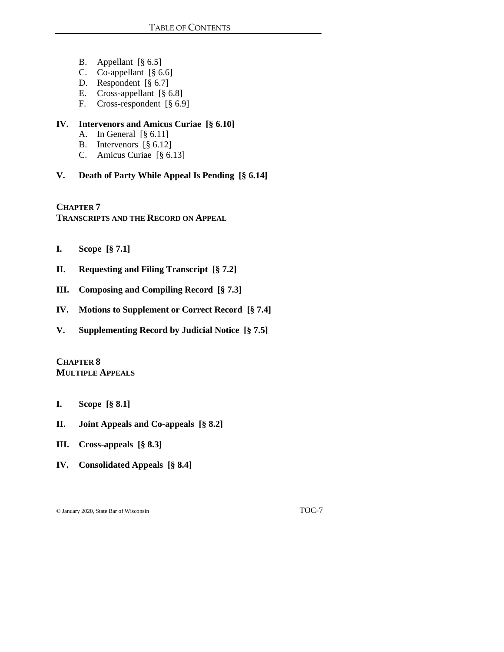- B. Appellant [§ 6.5]
- C. Co-appellant [§ 6.6]
- D. Respondent [§ 6.7]
- E. Cross-appellant [§ 6.8]
- F. Cross-respondent [§ 6.9]

#### **IV. Intervenors and Amicus Curiae [§ 6.10]**

- A. In General [§ 6.11]
- B. Intervenors [§ 6.12]
- C. Amicus Curiae [§ 6.13]
- **V. Death of Party While Appeal Is Pending [§ 6.14]**

**CHAPTER 7 TRANSCRIPTS AND THE RECORD ON APPEAL**

- **I. Scope [§ 7.1]**
- **II. Requesting and Filing Transcript [§ 7.2]**
- **III. Composing and Compiling Record [§ 7.3]**
- **IV. Motions to Supplement or Correct Record [§ 7.4]**
- **V. Supplementing Record by Judicial Notice [§ 7.5]**

**CHAPTER 8 MULTIPLE APPEALS**

- **I. Scope [§ 8.1]**
- **II. Joint Appeals and Co-appeals [§ 8.2]**
- **III. Cross-appeals [§ 8.3]**
- **IV. Consolidated Appeals [§ 8.4]**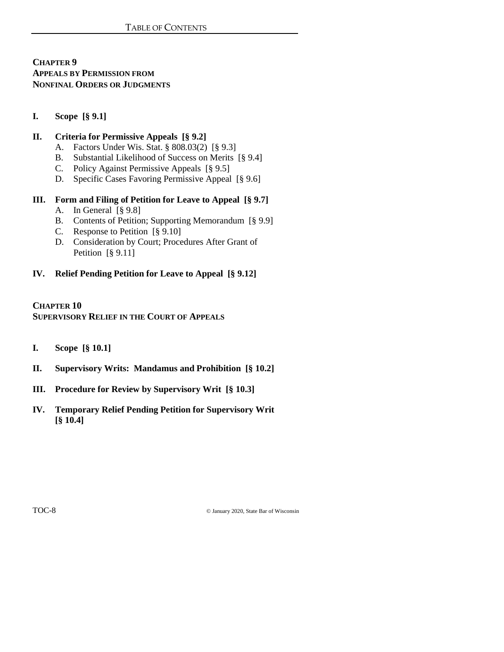**CHAPTER 9 APPEALS BY PERMISSION FROM NONFINAL ORDERS OR JUDGMENTS**

**I. Scope [§ 9.1]**

#### **II. Criteria for Permissive Appeals [§ 9.2]**

- A. Factors Under Wis. Stat. § 808.03(2) [§ 9.3]
- B. Substantial Likelihood of Success on Merits [§ 9.4]
- C. Policy Against Permissive Appeals [§ 9.5]
- D. Specific Cases Favoring Permissive Appeal [§ 9.6]

#### **III. Form and Filing of Petition for Leave to Appeal [§ 9.7]**

- A. In General [§ 9.8]
- B. Contents of Petition; Supporting Memorandum [§ 9.9]
- C. Response to Petition [§ 9.10]
- D. Consideration by Court; Procedures After Grant of Petition [§ 9.11]

#### **IV. Relief Pending Petition for Leave to Appeal [§ 9.12]**

# **CHAPTER 10 SUPERVISORY RELIEF IN THE COURT OF APPEALS**

- **I. Scope [§ 10.1]**
- **II. Supervisory Writs: Mandamus and Prohibition [§ 10.2]**
- **III. Procedure for Review by Supervisory Writ [§ 10.3]**
- **IV. Temporary Relief Pending Petition for Supervisory Writ [§ 10.4]**

TOC-8 © January 2020, State Bar of Wisconsin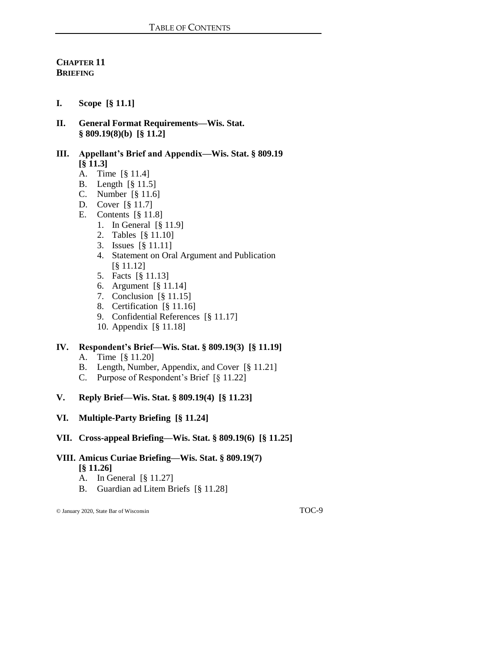# **CHAPTER 11 BRIEFING**

- **I. Scope [§ 11.1]**
- **II. General Format Requirements—Wis. Stat. § 809.19(8)(b) [§ 11.2]**

## **III. Appellant's Brief and Appendix—Wis. Stat. § 809.19 [§ 11.3]**

- A. Time [§ 11.4]
- B. Length [§ 11.5]
- C. Number [§ 11.6]
- D. Cover [§ 11.7]
- E. Contents [§ 11.8]
	- 1. In General [§ 11.9]
	- 2. Tables [§ 11.10]
	- 3. Issues [§ 11.11]
	- 4. Statement on Oral Argument and Publication [§ 11.12]
	- 5. Facts [§ 11.13]
	- 6. Argument [§ 11.14]
	- 7. Conclusion [§ 11.15]
	- 8. Certification [§ 11.16]
	- 9. Confidential References [§ 11.17]
	- 10. Appendix [§ 11.18]

# **IV. Respondent's Brief—Wis. Stat. § 809.19(3) [§ 11.19]**

- A. Time [§ 11.20]
- B. Length, Number, Appendix, and Cover [§ 11.21]
- C. Purpose of Respondent's Brief [§ 11.22]
- **V. Reply Brief—Wis. Stat. § 809.19(4) [§ 11.23]**
- **VI. Multiple-Party Briefing [§ 11.24]**
- **VII. Cross-appeal Briefing—Wis. Stat. § 809.19(6) [§ 11.25]**
- **VIII. Amicus Curiae Briefing—Wis. Stat. § 809.19(7)** 
	- **[§ 11.26]**
	- A. In General [§ 11.27]
	- B. Guardian ad Litem Briefs [§ 11.28]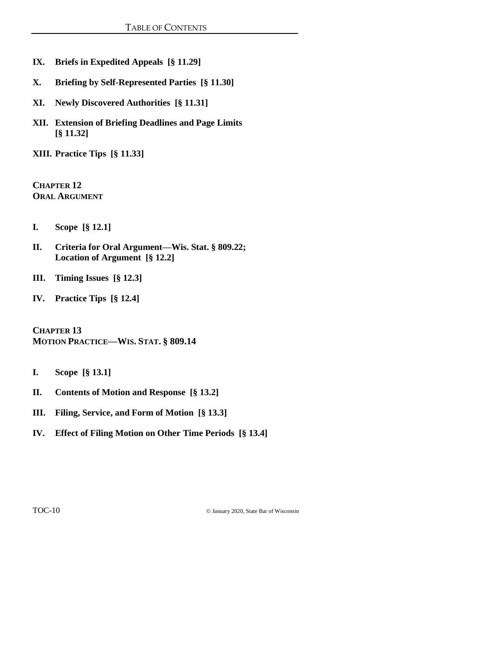- **IX. Briefs in Expedited Appeals [§ 11.29]**
- **X. Briefing by Self-Represented Parties [§ 11.30]**
- **XI. Newly Discovered Authorities [§ 11.31]**
- **XII. Extension of Briefing Deadlines and Page Limits [§ 11.32]**

**XIII. Practice Tips [§ 11.33]**

**CHAPTER 12 ORAL ARGUMENT**

- **I. Scope [§ 12.1]**
- **II. Criteria for Oral Argument—Wis. Stat. § 809.22; Location of Argument [§ 12.2]**
- **III. Timing Issues [§ 12.3]**
- **IV. Practice Tips [§ 12.4]**

**CHAPTER 13 MOTION PRACTICE—WIS. STAT. § 809.14**

- **I. Scope [§ 13.1]**
- **II. Contents of Motion and Response [§ 13.2]**
- **III. Filing, Service, and Form of Motion [§ 13.3]**
- **IV. Effect of Filing Motion on Other Time Periods [§ 13.4]**

TOC-10 © January 2020, State Bar of Wisconsin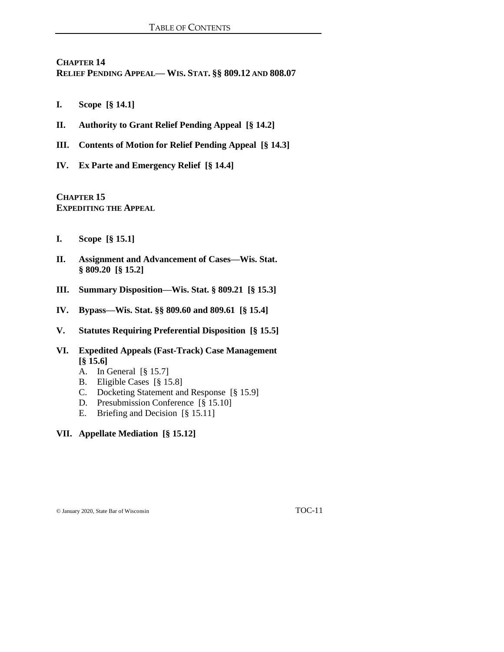**CHAPTER 14 RELIEF PENDING APPEAL— WIS. STAT. §§ 809.12 AND 808.07**

- **I. Scope [§ 14.1]**
- **II. Authority to Grant Relief Pending Appeal [§ 14.2]**
- **III. Contents of Motion for Relief Pending Appeal [§ 14.3]**
- **IV. Ex Parte and Emergency Relief [§ 14.4]**

**CHAPTER 15 EXPEDITING THE APPEAL**

- **I. Scope [§ 15.1]**
- **II. Assignment and Advancement of Cases—Wis. Stat. § 809.20 [§ 15.2]**
- **III. Summary Disposition—Wis. Stat. § 809.21 [§ 15.3]**
- **IV. Bypass—Wis. Stat. §§ 809.60 and 809.61 [§ 15.4]**
- **V. Statutes Requiring Preferential Disposition [§ 15.5]**
- **VI. Expedited Appeals (Fast-Track) Case Management [§ 15.6]**
	- A. In General [§ 15.7]
	- B. Eligible Cases [§ 15.8]
	- C. Docketing Statement and Response [§ 15.9]
	- D. Presubmission Conference [§ 15.10]
	- E. Briefing and Decision [§ 15.11]
- **VII. Appellate Mediation [§ 15.12]**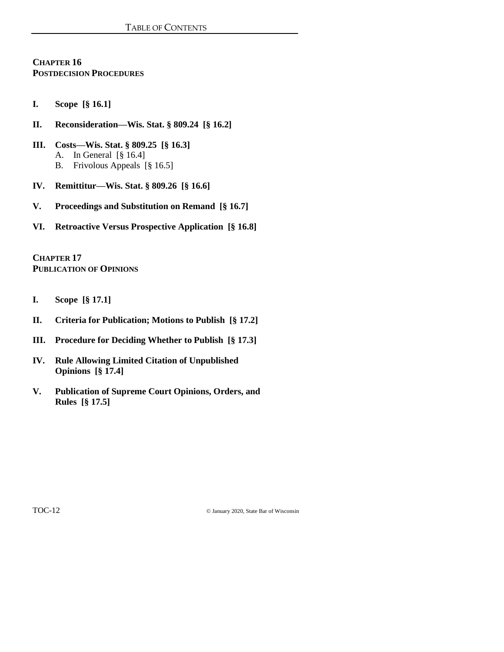# **CHAPTER 16 POSTDECISION PROCEDURES**

- **I. Scope [§ 16.1]**
- **II. Reconsideration—Wis. Stat. § 809.24 [§ 16.2]**
- **III. Costs—Wis. Stat. § 809.25 [§ 16.3]** A. In General [§ 16.4] B. Frivolous Appeals [§ 16.5]
- **IV. Remittitur—Wis. Stat. § 809.26 [§ 16.6]**
- **V. Proceedings and Substitution on Remand [§ 16.7]**
- **VI. Retroactive Versus Prospective Application [§ 16.8]**

**CHAPTER 17 PUBLICATION OF OPINIONS**

- **I. Scope [§ 17.1]**
- **II. Criteria for Publication; Motions to Publish [§ 17.2]**
- **III. Procedure for Deciding Whether to Publish [§ 17.3]**
- **IV. Rule Allowing Limited Citation of Unpublished Opinions [§ 17.4]**
- **V. Publication of Supreme Court Opinions, Orders, and Rules [§ 17.5]**

TOC-12 © January 2020, State Bar of Wisconsin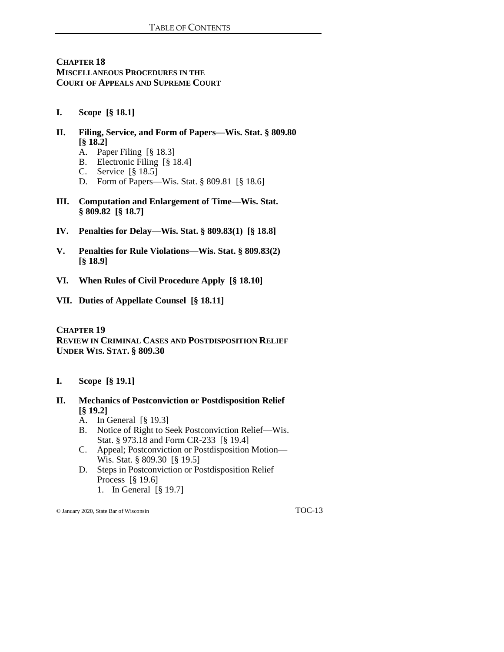**CHAPTER 18 MISCELLANEOUS PROCEDURES IN THE COURT OF APPEALS AND SUPREME COURT**

- **I. Scope [§ 18.1]**
- **II. Filing, Service, and Form of Papers—Wis. Stat. § 809.80 [§ 18.2]**
	- A. Paper Filing [§ 18.3]
	- B. Electronic Filing [§ 18.4]
	- C. Service [§ 18.5]
	- D. Form of Papers—Wis. Stat. § 809.81 [§ 18.6]
- **III. Computation and Enlargement of Time—Wis. Stat. § 809.82 [§ 18.7]**
- **IV. Penalties for Delay—Wis. Stat. § 809.83(1) [§ 18.8]**
- **V. Penalties for Rule Violations—Wis. Stat. § 809.83(2) [§ 18.9]**
- **VI. When Rules of Civil Procedure Apply [§ 18.10]**
- **VII. Duties of Appellate Counsel [§ 18.11]**

## **CHAPTER 19 REVIEW IN CRIMINAL CASES AND POSTDISPOSITION RELIEF UNDER WIS. STAT. § 809.30**

- **I. Scope [§ 19.1]**
- **II. Mechanics of Postconviction or Postdisposition Relief [§ 19.2]**
	- A. In General [§ 19.3]
	- B. Notice of Right to Seek Postconviction Relief—Wis. Stat. § 973.18 and Form CR-233 [§ 19.4]
	- C. Appeal; Postconviction or Postdisposition Motion— Wis. Stat. § 809.30 [§ 19.5]
	- D. Steps in Postconviction or Postdisposition Relief Process [§ 19.6]
		- 1. In General [§ 19.7]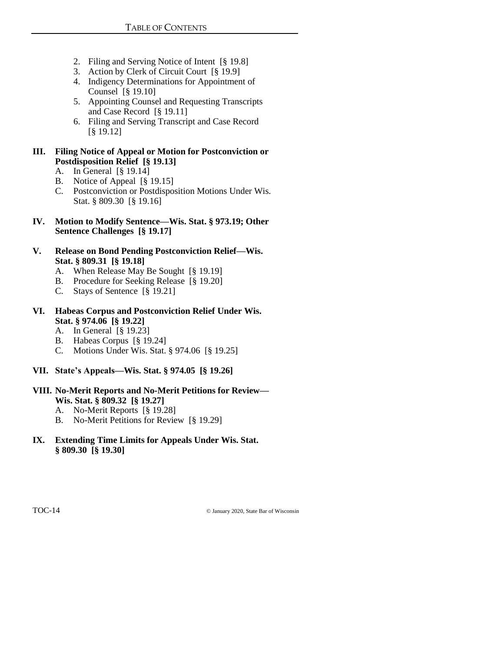- 2. Filing and Serving Notice of Intent [§ 19.8]
- 3. Action by Clerk of Circuit Court [§ 19.9]
- 4. Indigency Determinations for Appointment of Counsel [§ 19.10]
- 5. Appointing Counsel and Requesting Transcripts and Case Record [§ 19.11]
- 6. Filing and Serving Transcript and Case Record [§ 19.12]

# **III. Filing Notice of Appeal or Motion for Postconviction or Postdisposition Relief [§ 19.13]**

- A. In General [§ 19.14]
- B. Notice of Appeal [§ 19.15]
- C. Postconviction or Postdisposition Motions Under Wis. Stat. § 809.30 [§ 19.16]
- **IV. Motion to Modify Sentence—Wis. Stat. § 973.19; Other Sentence Challenges [§ 19.17]**
- **V. Release on Bond Pending Postconviction Relief—Wis. Stat. § 809.31 [§ 19.18]**
	- A. When Release May Be Sought [§ 19.19]
	- B. Procedure for Seeking Release [§ 19.20]
	- C. Stays of Sentence [§ 19.21]

## **VI. Habeas Corpus and Postconviction Relief Under Wis. Stat. § 974.06 [§ 19.22]**

- A. In General [§ 19.23]
- B. Habeas Corpus [§ 19.24]
- C. Motions Under Wis. Stat. § 974.06 [§ 19.25]
- **VII. State's Appeals—Wis. Stat. § 974.05 [§ 19.26]**

# **VIII. No-Merit Reports and No-Merit Petitions for Review— Wis. Stat. § 809.32 [§ 19.27]**

- A. No-Merit Reports [§ 19.28]
- B. No-Merit Petitions for Review [§ 19.29]
- **IX. Extending Time Limits for Appeals Under Wis. Stat. § 809.30 [§ 19.30]**

TOC-14 © January 2020, State Bar of Wisconsin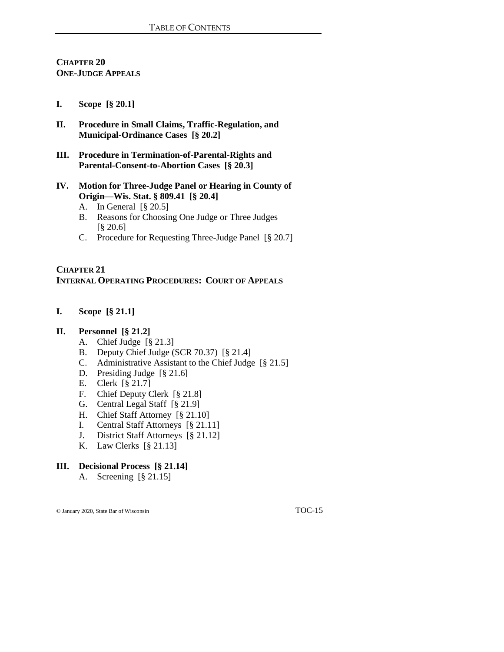# **CHAPTER 20 ONE-JUDGE APPEALS**

#### **I. Scope [§ 20.1]**

- **II. Procedure in Small Claims, Traffic-Regulation, and Municipal-Ordinance Cases [§ 20.2]**
- **III. Procedure in Termination-of-Parental-Rights and Parental-Consent-to-Abortion Cases [§ 20.3]**
- **IV. Motion for Three-Judge Panel or Hearing in County of Origin—Wis. Stat. § 809.41 [§ 20.4]**
	- A. In General [§ 20.5]
	- B. Reasons for Choosing One Judge or Three Judges [§ 20.6]
	- C. Procedure for Requesting Three-Judge Panel [§ 20.7]

#### **CHAPTER 21 INTERNAL OPERATING PROCEDURES: COURT OF APPEALS**

**I. Scope [§ 21.1]**

#### **II. Personnel [§ 21.2]**

- A. Chief Judge [§ 21.3]
- B. Deputy Chief Judge (SCR 70.37) [§ 21.4]
- C. Administrative Assistant to the Chief Judge [§ 21.5]
- D. Presiding Judge [§ 21.6]
- E. Clerk [§ 21.7]
- F. Chief Deputy Clerk [§ 21.8]
- G. Central Legal Staff [§ 21.9]
- H. Chief Staff Attorney [§ 21.10]
- I. Central Staff Attorneys [§ 21.11]
- J. District Staff Attorneys [§ 21.12]
- K. Law Clerks [§ 21.13]

# **III. Decisional Process [§ 21.14]**

A. Screening [§ 21.15]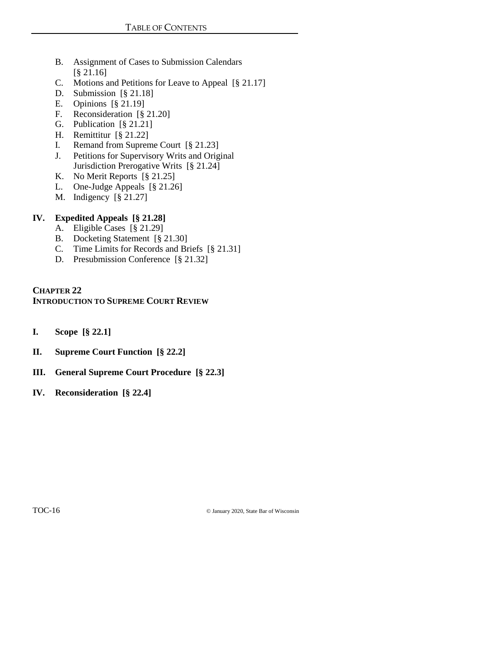- B. Assignment of Cases to Submission Calendars [§ 21.16]
- C. Motions and Petitions for Leave to Appeal [§ 21.17]
- D. Submission [§ 21.18]
- E. Opinions [§ 21.19]
- F. Reconsideration [§ 21.20]
- G. Publication [§ 21.21]
- H. Remittitur [§ 21.22]
- I. Remand from Supreme Court [§ 21.23]
- J. Petitions for Supervisory Writs and Original Jurisdiction Prerogative Writs [§ 21.24]
- K. No Merit Reports [§ 21.25]
- L. One-Judge Appeals [§ 21.26]
- M. Indigency [§ 21.27]

# **IV. Expedited Appeals [§ 21.28]**

- A. Eligible Cases [§ 21.29]
- B. Docketing Statement [§ 21.30]
- C. Time Limits for Records and Briefs [§ 21.31]
- D. Presubmission Conference [§ 21.32]

#### **CHAPTER 22 INTRODUCTION TO SUPREME COURT REVIEW**

- **I. Scope [§ 22.1]**
- **II. Supreme Court Function [§ 22.2]**
- **III. General Supreme Court Procedure [§ 22.3]**
- **IV. Reconsideration [§ 22.4]**

TOC-16 © January 2020, State Bar of Wisconsin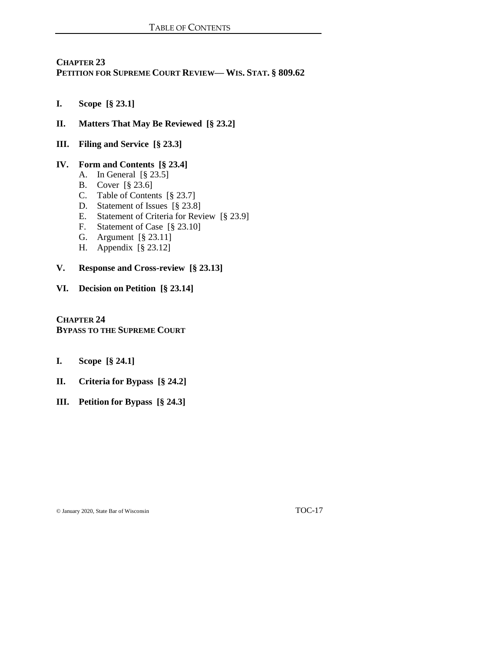# **CHAPTER 23 PETITION FOR SUPREME COURT REVIEW— WIS. STAT. § 809.62**

- **I. Scope [§ 23.1]**
- **II. Matters That May Be Reviewed [§ 23.2]**
- **III. Filing and Service [§ 23.3]**

#### **IV. Form and Contents [§ 23.4]**

- A. In General [§ 23.5]
- B. Cover [§ 23.6]
- C. Table of Contents [§ 23.7]
- D. Statement of Issues [§ 23.8]
- E. Statement of Criteria for Review [§ 23.9]
- F. Statement of Case [§ 23.10]
- G. Argument [§ 23.11]
- H. Appendix [§ 23.12]

## **V. Response and Cross-review [§ 23.13]**

**VI. Decision on Petition [§ 23.14]**

**CHAPTER 24 BYPASS TO THE SUPREME COURT**

- **I. Scope [§ 24.1]**
- **II. Criteria for Bypass [§ 24.2]**
- **III. Petition for Bypass [§ 24.3]**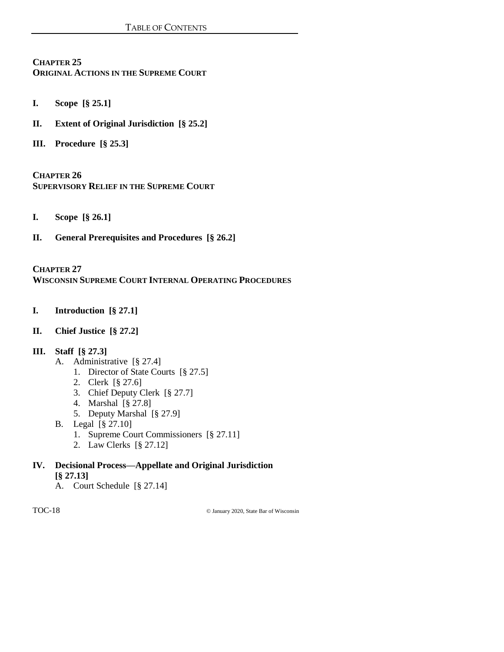## **CHAPTER 25 ORIGINAL ACTIONS IN THE SUPREME COURT**

- **I. Scope [§ 25.1]**
- **II. Extent of Original Jurisdiction [§ 25.2]**
- **III. Procedure [§ 25.3]**

**CHAPTER 26 SUPERVISORY RELIEF IN THE SUPREME COURT**

- **I. Scope [§ 26.1]**
- **II. General Prerequisites and Procedures [§ 26.2]**

#### **CHAPTER 27 WISCONSIN SUPREME COURT INTERNAL OPERATING PROCEDURES**

- **I. Introduction [§ 27.1]**
- **II. Chief Justice [§ 27.2]**

# **III. Staff [§ 27.3]**

- A. Administrative [§ 27.4]
	- 1. Director of State Courts [§ 27.5]
	- 2. Clerk [§ 27.6]
	- 3. Chief Deputy Clerk [§ 27.7]
	- 4. Marshal [§ 27.8]
	- 5. Deputy Marshal [§ 27.9]
- B. Legal [§ 27.10]
	- 1. Supreme Court Commissioners [§ 27.11]
	- 2. Law Clerks [§ 27.12]

# **IV. Decisional Process—Appellate and Original Jurisdiction**

- **[§ 27.13]**
- A. Court Schedule [§ 27.14]

TOC-18 © January 2020, State Bar of Wisconsin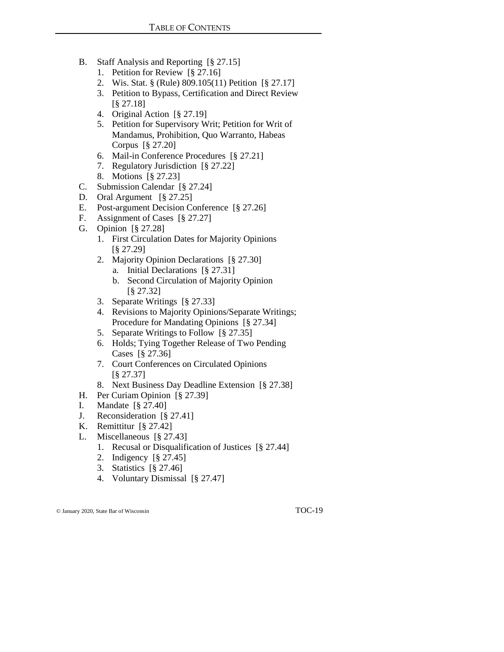- B. Staff Analysis and Reporting [§ 27.15]
	- 1. Petition for Review [§ 27.16]
	- 2. Wis. Stat. § (Rule) 809.105(11) Petition [§ 27.17]
	- 3. Petition to Bypass, Certification and Direct Review [§ 27.18]
	- 4. Original Action [§ 27.19]
	- 5. Petition for Supervisory Writ; Petition for Writ of Mandamus, Prohibition, Quo Warranto, Habeas Corpus [§ 27.20]
	- 6. Mail-in Conference Procedures [§ 27.21]
	- 7. Regulatory Jurisdiction [§ 27.22]
	- 8. Motions [§ 27.23]
- C. Submission Calendar [§ 27.24]
- D. Oral Argument [§ 27.25]
- E. Post-argument Decision Conference [§ 27.26]
- F. Assignment of Cases [§ 27.27]
- G. Opinion [§ 27.28]
	- 1. First Circulation Dates for Majority Opinions [§ 27.29]
	- 2. Majority Opinion Declarations [§ 27.30]
		- a. Initial Declarations [§ 27.31]
		- b. Second Circulation of Majority Opinion [§ 27.32]
	- 3. Separate Writings [§ 27.33]
	- 4. Revisions to Majority Opinions/Separate Writings; Procedure for Mandating Opinions [§ 27.34]
	- 5. Separate Writings to Follow [§ 27.35]
	- 6. Holds; Tying Together Release of Two Pending Cases [§ 27.36]
	- 7. Court Conferences on Circulated Opinions [§ 27.37]
	- 8. Next Business Day Deadline Extension [§ 27.38]
- H. Per Curiam Opinion [§ 27.39]
- I. Mandate [§ 27.40]
- J. Reconsideration [§ 27.41]
- K. Remittitur [§ 27.42]
- L. Miscellaneous [§ 27.43]
	- 1. Recusal or Disqualification of Justices [§ 27.44]
	- 2. Indigency [§ 27.45]
	- 3. Statistics [§ 27.46]
	- 4. Voluntary Dismissal [§ 27.47]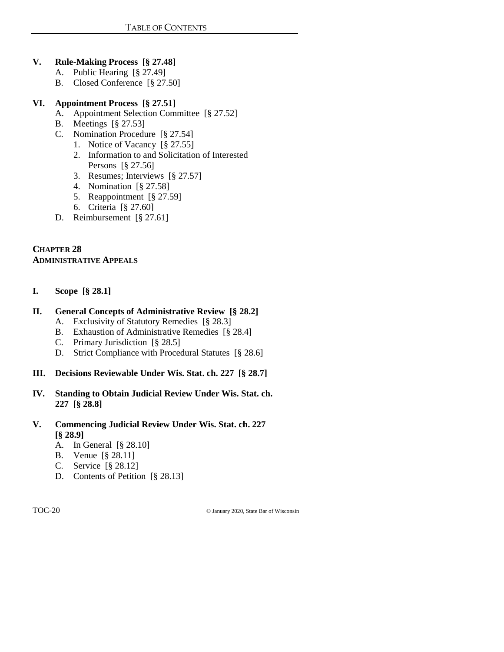# **V. Rule-Making Process [§ 27.48]**

- A. Public Hearing [§ 27.49]
- B. Closed Conference [§ 27.50]

# **VI. Appointment Process [§ 27.51]**

- A. Appointment Selection Committee [§ 27.52]
- B. Meetings [§ 27.53]
- C. Nomination Procedure [§ 27.54]
	- 1. Notice of Vacancy [§ 27.55]
	- 2. Information to and Solicitation of Interested Persons [§ 27.56]
	- 3. Resumes; Interviews [§ 27.57]
	- 4. Nomination [§ 27.58]
	- 5. Reappointment [§ 27.59]
	- 6. Criteria [§ 27.60]
- D. Reimbursement [§ 27.61]

# **CHAPTER 28 ADMINISTRATIVE APPEALS**

**I. Scope [§ 28.1]**

# **II. General Concepts of Administrative Review [§ 28.2]**

- A. Exclusivity of Statutory Remedies [§ 28.3]
- B. Exhaustion of Administrative Remedies [§ 28.4]
- C. Primary Jurisdiction [§ 28.5]
- D. Strict Compliance with Procedural Statutes [§ 28.6]
- **III. Decisions Reviewable Under Wis. Stat. ch. 227 [§ 28.7]**
- **IV. Standing to Obtain Judicial Review Under Wis. Stat. ch. 227 [§ 28.8]**
- **V. Commencing Judicial Review Under Wis. Stat. ch. 227 [§ 28.9]**
	- A. In General [§ 28.10]
	- B. Venue [§ 28.11]
	- C. Service [§ 28.12]
	- D. Contents of Petition [§ 28.13]

TOC-20 © January 2020, State Bar of Wisconsin